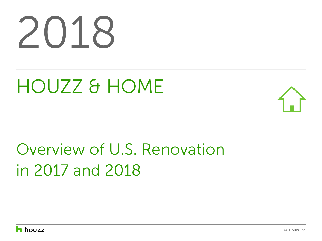# 2018

# HOUZZ & HOME



# Overview of U.S. Renovation in 2017 and 2018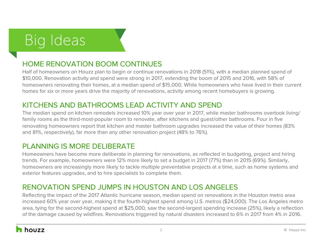# Big Ideas

### HOME RENOVATION BOOM CONTINUES

Half of homeowners on Houzz plan to begin or continue renovations in 2018 (51%), with a median planned spend of \$10,000. Renovation activity and spend were strong in 2017, extending the boom of 2015 and 2016, with 58% of homeowners renovating their homes, at a median spend of \$15,000. While homeowners who have lived in their current homes for six or more years drive the majority of renovations, activity among recent homebuyers is growing.

### KITCHENS AND BATHROOMS LEAD ACTIVITY AND SPEND

The median spend on kitchen remodels increased 10% year over year in 2017, while master bathrooms overtook living/ family rooms as the third-most-popular room to renovate, after kitchens and guest/other bathrooms. Four in five renovating homeowners report that kitchen and master bathroom upgrades increased the value of their homes (83% and 81%, respectively), far more than any other renovation project (48% to 76%).

### PI ANNING IS MORF DELIBERATE

Homeowners have become more deliberate in planning for renovations, as reflected in budgeting, project and hiring trends. For example, homeowners were 12% more likely to set a budget in 2017 (77%) than in 2015 (69%). Similarly, homeowners are increasingly more likely to tackle multiple preventative projects at a time, such as home systems and exterior features upgrades, and to hire specialists to complete them.

### RENOVATION SPEND JUMPS IN HOUSTON AND LOS ANGELES

Reflecting the impact of the 2017 Atlantic hurricane season, median spend on renovations in the Houston metro area increased 60% year over year, making it the fourth-highest spend among U.S. metros (\$24,000). The Los Angeles metro area, tying for the second-highest spend at \$25,000, saw the second-largest spending increase (25%), likely a reflection of the damage caused by wildfires. Renovations triggered by natural disasters increased to 6% in 2017 from 4% in 2016.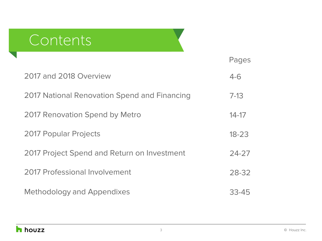## **Contents**

|                                              | Pages     |
|----------------------------------------------|-----------|
| 2017 and 2018 Overview                       | $4 - 6$   |
| 2017 National Renovation Spend and Financing | $7 - 13$  |
| 2017 Renovation Spend by Metro               | $14 - 17$ |
| <b>2017 Popular Projects</b>                 | $18 - 23$ |
| 2017 Project Spend and Return on Investment  | $24 - 27$ |
| 2017 Professional Involvement                | 28-32     |
| <b>Methodology and Appendixes</b>            | 33-45     |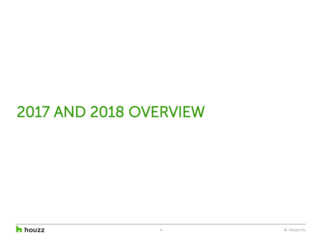# 2017 AND 2018 OVERVIEW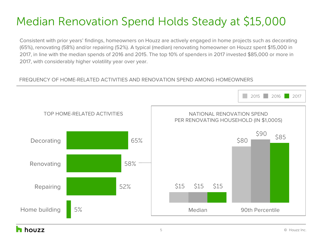### Median Renovation Spend Holds Steady at \$15,000

Consistent with prior years' findings, homeowners on Houzz are actively engaged in home projects such as decorating (65%), renovating (58%) and/or repairing (52%). A typical (median) renovating homeowner on Houzz spent \$15,000 in 2017, in line with the median spends of 2016 and 2015. The top 10% of spenders in 2017 invested \$85,000 or more in 2017, with considerably higher volatility year over year.

### FREQUENCY OF HOME-RELATED ACTIVITIES AND RENOVATION SPEND AMONG HOMEOWNERS

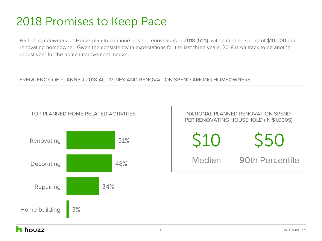### 2018 Promises to Keep Pace

Half of homeowners on Houzz plan to continue or start renovations in 2018 (51%), with a median spend of \$10,000 per renovating homeowner. Given the consistency in expectations for the last three years, 2018 is on track to be another robust year for the home improvement market.

#### FREQUENCY OF PLANNED 2018 ACTIVITIES AND RENOVATION SPEND AMONG HOMEOWNERS

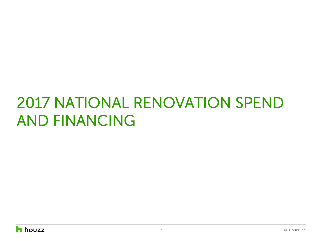# 2017 NATIONAL RENOVATION SPEND AND FINANCING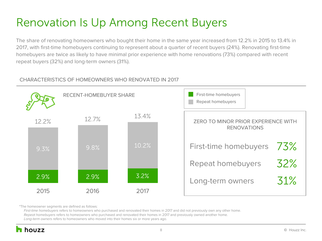### Renovation Is Up Among Recent Buyers

The share of renovating homeowners who bought their home in the same year increased from 12.2% in 2015 to 13.4% in 2017, with first-time homebuyers continuing to represent about a quarter of recent buyers (24%). Renovating first-time homebuyers are twice as likely to have minimal prior experience with home renovations (73%) compared with recent repeat buyers (32%) and long-term owners (31%).

### CHARACTERISTICS OF HOMEOWNERS WHO RENOVATED IN 2017



\*The homeowner segments are defined as follows:

*First-time homebuyers* refers to homeowners who purchased and renovated their homes in 2017 and did not previously own any other home.  *Repeat homebuyers* refers to homeowners who purchased and renovated their homes in 2017 and previously owned another home.  *Long-term owners r*efers to homeowners who moved into their homes six or more years ago.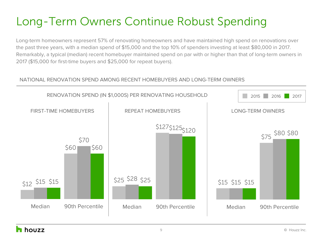### Long-Term Owners Continue Robust Spending

Long-term homeowners represent 57% of renovating homeowners and have maintained high spend on renovations over the past three years, with a median spend of \$15,000 and the top 10% of spenders investing at least \$80,000 in 2017. Remarkably, a typical (median) recent homebuyer maintained spend on par with or higher than that of long-term owners in 2017 (\$15,000 for first-time buyers and \$25,000 for repeat buyers).

### NATIONAL RENOVATION SPEND AMONG RECENT HOMEBUYERS AND LONG-TERM OWNERS

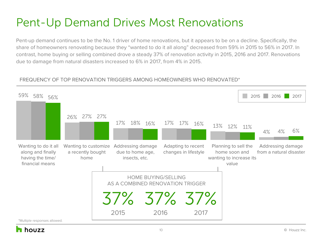### Pent-Up Demand Drives Most Renovations

Pent-up demand continues to be the No. 1 driver of home renovations, but it appears to be on a decline. Specifically, the share of homeowners renovating because they "wanted to do it all along" decreased from 59% in 2015 to 56% in 2017. In contrast, home buying or selling combined drove a steady 37% of renovation activity in 2015, 2016 and 2017. Renovations due to damage from natural disasters increased to 6% in 2017, from 4% in 2015.

### FREQUENCY OF TOP RENOVATION TRIGGERS AMONG HOMEOWNERS WHO RENOVATED\*

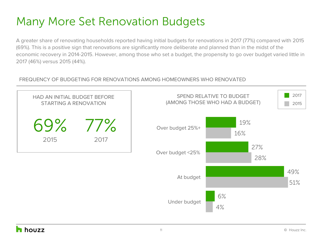### Many More Set Renovation Budgets

A greater share of renovating households reported having initial budgets for renovations in 2017 (77%) compared with 2015 (69%). This is a positive sign that renovations are significantly more deliberate and planned than in the midst of the economic recovery in 2014-2015. However, among those who set a budget, the propensity to go over budget varied little in 2017 (46%) versus 2015 (44%).

### FREQUENCY OF BUDGETING FOR RENOVATIONS AMONG HOMEOWNERS WHO RENOVATED

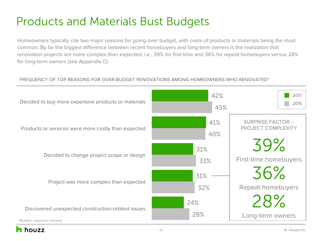### Products and Materials Bust Budgets

Homeowners typically cite two major reasons for going over budget, with costs of products or materials being the most common. By far the biggest difference between recent homebuyers and long-term owners is the realization that renovation projects are more complex than expected, i.e., 39% for first-time and 36% for repeat homebuyers versus 28% for long-term owners (see Appendix C).

#### FREQUENCY OF TOP REASONS FOR OVER-BUDGET RENOVATIONS AMONG HOMEOWNERS WHO RENOVATED\*

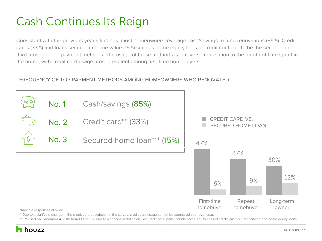### Cash Continues Its Reign

Consistent with the previous year's findings, most homeowners leverage cash/savings to fund renovations (85%). Credit cards (33%) and loans secured in home value (15%) such as home equity lines of credit continue to be the second- and third-most popular payment methods. The usage of these methods is in reverse correlation to the length of time spent in the home, with credit card usage most prevalent among first-time homebuyers.

### FREQUENCY OF TOP PAYMENT METHODS AMONG HOMEOWNERS WHO RENOVATED\*



\*\*Due to a clarifying change in the credit card description in the survey, credit card usage cannot be compared year over year.

\*\*\*Revised on December 4, 2018 from 13% to 15% due to a change in definition. Secured home loans include home equity lines of credit, cash-out refinancing and home equity loans.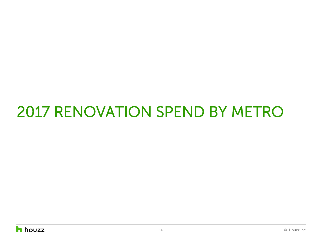# 2017 RENOVATION SPEND BY METRO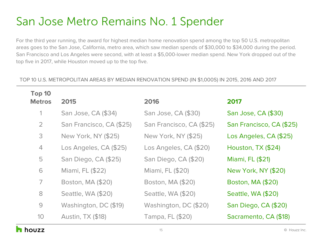### San Jose Metro Remains No. 1 Spender

For the third year running, the award for highest median home renovation spend among the top 50 U.S. metropolitan areas goes to the San Jose, California, metro area, which saw median spends of \$30,000 to \$34,000 during the period. San Francisco and Los Angeles were second, with at least a \$5,000-lower median spend. New York dropped out of the top five in 2017, while Houston moved up to the top five.

#### TOP 10 U.S. METROPOLITAN AREAS BY MEDIAN RENOVATION SPEND (IN \$1,000S) IN 2015, 2016 AND 2017

| Top 10         |                          |                          |                          |
|----------------|--------------------------|--------------------------|--------------------------|
| <b>Metros</b>  | 2015                     | 2016                     | 2017                     |
| 1              | San Jose, CA (\$34)      | San Jose, CA (\$30)      | San Jose, CA (\$30)      |
| $\overline{2}$ | San Francisco, CA (\$25) | San Francisco, CA (\$25) | San Francisco, CA (\$25) |
| 3              | New York, NY (\$25)      | New York, NY (\$25)      | Los Angeles, CA (\$25)   |
| $\overline{4}$ | Los Angeles, CA (\$25)   | Los Angeles, CA (\$20)   | Houston, TX (\$24)       |
| 5              | San Diego, CA (\$25)     | San Diego, CA (\$20)     | Miami, FL (\$21)         |
| 6              | Miami, FL (\$22)         | Miami, FL (\$20)         | New York, NY (\$20)      |
| $\overline{ }$ | Boston, MA (\$20)        | Boston, MA (\$20)        | Boston, MA (\$20)        |
| 8              | Seattle, WA (\$20)       | Seattle, WA (\$20)       | Seattle, WA (\$20)       |
| $\Theta$       | Washington, DC (\$19)    | Washington, DC (\$20)    | San Diego, CA (\$20)     |
| 10             | <b>Austin, TX (\$18)</b> | Tampa, FL (\$20)         | Sacramento, CA (\$18)    |
|                |                          |                          |                          |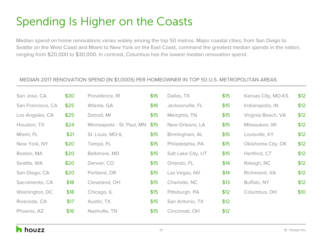### Spending Is Higher on the Coasts

Median spend on home renovations varies widely among the top 50 metros. Major coastal cities, from San Diego to Seattle on the West Coast and Miami to New York on the East Coast, command the greatest median spends in the nation, ranging from \$20,000 to \$30,000. In contrast, Columbus has the lowest median renovation spend.

#### MEDIAN 2017 RENOVATION SPEND (IN \$1,000S) PER HOMEOWNER IN TOP 50 U.S. METROPOLITAN AREAS

| San Jose, CA      | \$30 | Providence, RI             | \$16 | Dallas, TX         | \$15 | Kansas City, MO-KS | \$12 |
|-------------------|------|----------------------------|------|--------------------|------|--------------------|------|
| San Francisco, CA | \$25 | Atlanta, GA                | \$16 | Jacksonville, FL   | \$15 | Indianapolis, IN   | \$12 |
| Los Angeles, CA   | \$25 | Detroit, MI                | \$15 | Memphis, TN        | \$15 | Virginia Beach, VA | \$12 |
| Houston, TX       | \$24 | Minneapolis - St. Paul, MN | \$15 | New Orleans, LA    | \$15 | Milwaukee, WI      | \$12 |
| Miami, FL         | \$21 | St. Louis, MO-IL           | \$15 | Birmingham, AL     | \$15 | Louisville, KY     | \$12 |
| New York, NY      | \$20 | Tampa, FL                  | \$15 | Philadelphia, PA   | \$15 | Oklahoma City, OK  | \$12 |
| Boston, MA        | \$20 | Baltimore, MD              | \$15 | Salt Lake City, UT | \$15 | Hartford, CT       | \$12 |
| Seattle, WA       | \$20 | Denver, CO                 | \$15 | Orlando, FL        | \$14 | Raleigh, NC        | \$12 |
| San Diego, CA     | \$20 | Portland, OR               | \$15 | Las Vegas, NV      | \$14 | Richmond, VA       | \$12 |
| Sacramento, CA    | \$18 | Cleveland, OH              | \$15 | Charlotte, NC      | \$13 | Buffalo, NY        | \$12 |
| Washington, DC    | \$18 | Chicago, IL                | \$15 | Pittsburgh, PA     | \$12 | Columbus, OH       | \$10 |
| Riverside, CA     | \$17 | Austin, TX                 | \$15 | San Antonio, TX    | \$12 |                    |      |
| Phoenix, AZ       | \$16 | Nashville, TN              | \$15 | Cincinnati, OH     | \$12 |                    |      |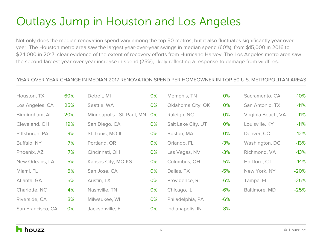### Outlays Jump in Houston and Los Angeles

Not only does the median renovation spend vary among the top 50 metros, but it also fluctuates significantly year over year. The Houston metro area saw the largest year-over-year swings in median spend (60%), from \$15,000 in 2016 to \$24,000 in 2017, clear evidence of the extent of recovery efforts from Hurricane Harvey. The Los Angeles metro area saw the second-largest year-over-year increase in spend (25%), likely reflecting a response to damage from wildfires.

#### YEAR-OVER-YEAR CHANGE IN MEDIAN 2017 RENOVATION SPEND PER HOMEOWNER IN TOP 50 U.S. METROPOLITAN AREAS

| Houston, TX       | 60% | Detroit, MI                | 0% | Memphis, TN        | 0%    | Sacramento, CA     | $-10%$ |
|-------------------|-----|----------------------------|----|--------------------|-------|--------------------|--------|
| Los Angeles, CA   | 25% | Seattle, WA                | 0% | Oklahoma City, OK  | 0%    | San Antonio, TX    | $-11%$ |
| Birmingham, AL    | 20% | Minneapolis - St. Paul, MN | 0% | Raleigh, NC        | 0%    | Virginia Beach, VA | $-11%$ |
| Cleveland, OH     | 19% | San Diego, CA              | 0% | Salt Lake City, UT | 0%    | Louisville, KY     | $-11%$ |
| Pittsburgh, PA    | 9%  | St. Louis, MO-IL           | 0% | Boston, MA         | 0%    | Denver, CO         | $-12%$ |
| Buffalo, NY       | 7%  | Portland, OR               | 0% | Orlando, FL        | $-3%$ | Washington, DC     | $-13%$ |
| Phoenix, AZ       | 7%  | Cincinnati, OH             | 0% | Las Vegas, NV      | $-3%$ | Richmond, VA       | $-13%$ |
| New Orleans, LA   | 5%  | Kansas City, MO-KS         | 0% | Columbus, OH       | $-5%$ | Hartford, CT       | $-14%$ |
| Miami, FL         | 5%  | San Jose, CA               | 0% | Dallas, TX         | $-5%$ | New York, NY       | $-20%$ |
| Atlanta, GA       | 5%  | Austin, TX                 | 0% | Providence, RI     | $-6%$ | Tampa, FL          | $-25%$ |
| Charlotte, NC     | 4%  | Nashville, TN              | 0% | Chicago, IL        | $-6%$ | Baltimore, MD      | $-25%$ |
| Riverside, CA     | 3%  | Milwaukee, WI              | 0% | Philadelphia, PA   | $-6%$ |                    |        |
| San Francisco, CA | 0%  | Jacksonville, FL           | 0% | Indianapolis, IN   | $-8%$ |                    |        |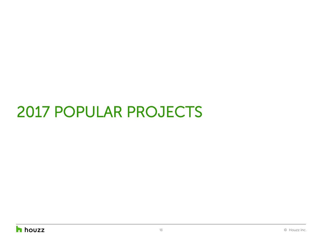# 2017 POPULAR PROJECTS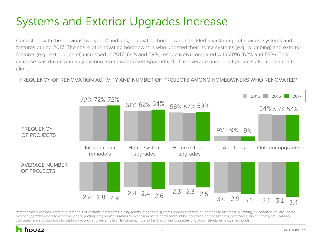### Systems and Exterior Upgrades Increase

Consistent with the previous two years' findings, renovating homeowners tackled a vast range of spaces, systems and features during 2017. The share of renovating homeowners who updated their home systems (e.g., plumbing) and exterior features (e.g., exterior paint) increased in 2017 (64% and 59%, respectively) compared with 2016 (62% and 57%). This increase was driven primarily by long-term owners (see Appendix D). The average number of projects also continued to climb.

### FREQUENCY OF RENOVATION ACTIVITY AND NUMBER OF PROJECTS AMONG HOMEOWNERS WHO RENOVATED\*



*\*Interior rooms remodels* refers to remodels of kitchens, bathrooms, dining rooms, etc.; *home systems upgrades* refers to upgrades to electrical, plumbing, air conditioning, etc.; *home exterior upgrades* refers to windows, doors, roofing, etc.; *additions* refers to expansion of the home footprint by increasing/adding kitchens, bathrooms, dining rooms, etc.; *outdoor upgrades* refers to upgrades to outdoor grounds and systems (e.g., landscape, irrigation) and additions/upgrades of outdoor structures (e.g., shed, pool).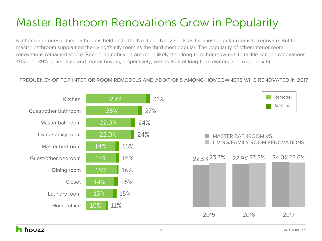### Master Bathroom Renovations Grow in Popularity

Kitchens and guest/other bathrooms held on to the No. 1 and No. 2 spots as the most popular rooms to renovate. But the master bathroom supplanted the living/family room as the third-most popular. The popularity of other interior room renovations remained stable. Recent homebuyers are more likely than long-term homeowners to tackle kitchen renovations — 40% and 39% of first-time and repeat buyers, respectively, versus 30% of long-term owners (see Appendix E).

### FREQUENCY OF TOP INTERIOR ROOM REMODELS AND ADDITIONS AMONG HOMEOWNERS WHO RENOVATED IN 2017

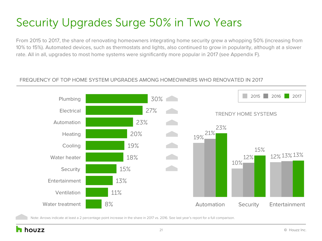### Security Upgrades Surge 50% in Two Years

From 2015 to 2017, the share of renovating homeowners integrating home security grew a whopping 50% (increasing from 10% to 15%). Automated devices, such as thermostats and lights, also continued to grow in popularity, although at a slower rate. All in all, upgrades to most home systems were significantly more popular in 2017 (see Appendix F).

#### FREQUENCY OF TOP HOME SYSTEM UPGRADES AMONG HOMEOWNERS WHO RENOVATED IN 2017



Note: Arrows indicate at least a 2 percentage point increase in the share in 2017 vs. 2016[. See last year's report for a full comparison.](http://st.hzcdn.com/static/econ/HouzzAndHome2017.pdf)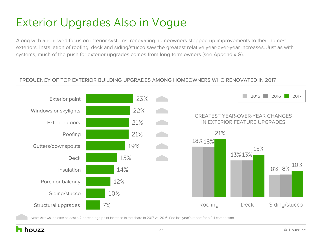### Exterior Upgrades Also in Vogue

Along with a renewed focus on interior systems, renovating homeowners stepped up improvements to their homes' exteriors. Installation of roofing, deck and siding/stucco saw the greatest relative year-over-year increases. Just as with systems, much of the push for exterior upgrades comes from long-term owners (see Appendix G).

#### FREQUENCY OF TOP EXTERIOR BUILDING UPGRADES AMONG HOMEOWNERS WHO RENOVATED IN 2017



Note: Arrows indicate at least a 2 percentage point increase in the share in 2017 vs. 2016[. See last year's report for a full comparison.](http://st.hzcdn.com/static/econ/HouzzAndHome2017.pdf)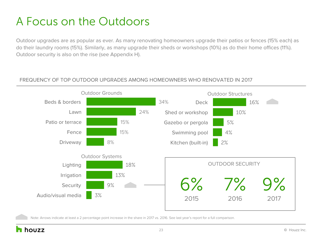### A Focus on the Outdoors

Outdoor upgrades are as popular as ever. As many renovating homeowners upgrade their patios or fences (15% each) as do their laundry rooms (15%). Similarly, as many upgrade their sheds or workshops (10%) as do their home offices (11%). Outdoor security is also on the rise (see Appendix H).

#### FREQUENCY OF TOP OUTDOOR UPGRADES AMONG HOMEOWNERS WHO RENOVATED IN 2017



Note: Arrows indicate at least a 2 percentage point increase in the share in 2017 vs. 2016. [See last year's report for a full comparison.](http://st.hzcdn.com/static/econ/HouzzAndHome2017.pdf) 

### houzz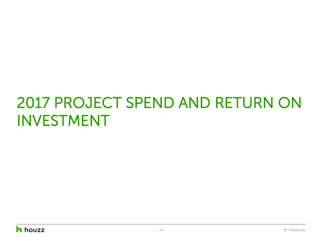# 2017 PROJECT SPEND AND RETURN ON INVESTMENT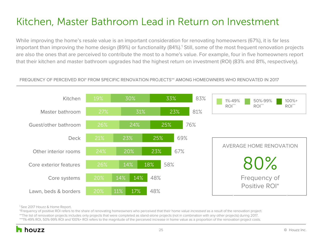### Kitchen, Master Bathroom Lead in Return on Investment

While improving the home's resale value is an important consideration for renovating homeowners (67%), it is far less important than improving the home design (89%) or functionality (84%).<sup>1</sup> Still, some of the most frequent renovation projects are also the ones that are perceived to contribute the most to a home's value. For example, four in five homeowners report that their kitchen and master bathroom upgrades had the highest return on investment (ROI) (83% and 81%, respectively).

#### FREQUENCY OF PERCEIVED ROI\* FROM SPECIFIC RENOVATION PROJECTS\*\* AMONG HOMEOWNERS WHO RENOVATED IN 2017



1 [See 2017 Houzz & Home Report.](http://st.hzcdn.com/static/econ/HouzzAndHome2017.pdf)

\*Frequency of positive ROI refers to the share of renovating homeowners who perceived that their home value *increased* as a result of the renovation project. \*\*The list of renovation projects includes only projects that were completed as stand-alone projects (not in combination with any other projects) during 2017. \*\*\*1%-49% ROI, 50%-99% ROI and 100%+ ROI refers to the magnitude of the perceived increase in home value as a proportion of the renovation project costs.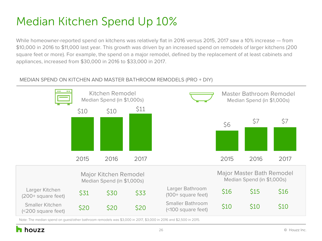### Median Kitchen Spend Up 10%

While homeowner-reported spend on kitchens was relatively flat in 2016 versus 2015, 2017 saw a 10% increase — from \$10,000 in 2016 to \$11,000 last year. This growth was driven by an increased spend on remodels of larger kitchens (200 square feet or more). For example, the spend on a major remodel, defined by the replacement of at least cabinets and appliances, increased from \$30,000 in 2016 to \$33,000 in 2017.

### MEDIAN SPEND ON KITCHEN AND MASTER BATHROOM REMODELS (PRO + DIY)



Note: The median spend on guest/other bathroom remodels was \$3,000 in 2017, \$3,000 in 2016 and \$2,500 in 2015.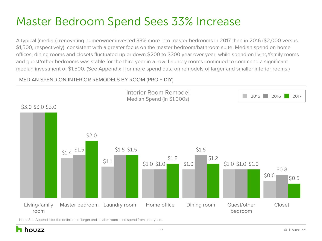### Master Bedroom Spend Sees 33% Increase

A typical (median) renovating homeowner invested 33% more into master bedrooms in 2017 than in 2016 (\$2,000 versus \$1,500, respectively), consistent with a greater focus on the master bedroom/bathroom suite. Median spend on home offices, dining rooms and closets fluctuated up or down \$200 to \$300 year over year, while spend on living/family rooms and guest/other bedrooms was stable for the third year in a row. Laundry rooms continued to command a significant median investment of \$1,500. (See Appendix I for more spend data on remodels of larger and smaller interior rooms.)

#### MEDIAN SPEND ON INTERIOR REMODELS BY ROOM (PRO + DIY)



Note: See Appendix for the definition of larger and smaller rooms and spend from prior years.

houzz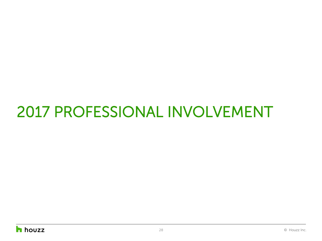# 2017 PROFESSIONAL INVOLVEMENT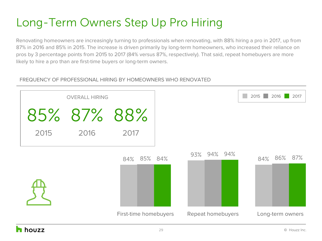### Long-Term Owners Step Up Pro Hiring

Renovating homeowners are increasingly turning to professionals when renovating, with 88% hiring a pro in 2017, up from 87% in 2016 and 85% in 2015. The increase is driven primarily by long-term homeowners, who increased their reliance on pros by 3 percentage points from 2015 to 2017 (84% versus 87%, respectively). That said, repeat homebuyers are more likely to hire a pro than are first-time buyers or long-term owners.

### FREQUENCY OF PROFESSIONAL HIRING BY HOMEOWNERS WHO RENOVATED

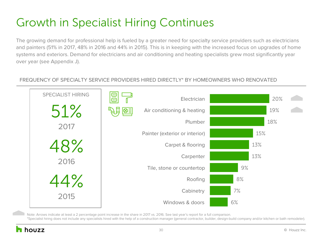### Growth in Specialist Hiring Continues

The growing demand for professional help is fueled by a greater need for specialty service providers such as electricians and painters (51% in 2017, 48% in 2016 and 44% in 2015). This is in keeping with the increased focus on upgrades of home systems and exteriors. Demand for electricians and air conditioning and heating specialists grew most significantly year over year (see Appendix J).

#### FREQUENCY OF SPECIALTY SERVICE PROVIDERS HIRED DIRECTLY\* BY HOMEOWNERS WHO RENOVATED



Note: Arrows indicate at least a 2 percentage point increase in the share in 2017 vs. 2016. [See last year's report for a full comparison.](http://st.hzcdn.com/static/econ/HouzzAndHome2017.pdf)

\*Specialist hiring does not include any specialists hired with the help of a construction manager (general contractor, builder, design-build company and/or kitchen or bath remodeler).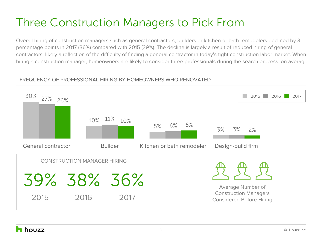### Three Construction Managers to Pick From

Overall hiring of construction managers such as general contractors, builders or kitchen or bath remodelers declined by 3 percentage points in 2017 (36%) compared with 2015 (39%). The decline is largely a result of reduced hiring of general contractors, likely a reflection of the difficulty of finding a general contractor in today's tight construction labor market. When hiring a construction manager, homeowners are likely to consider three professionals during the search process, on average.

### FREQUENCY OF PROFESSIONAL HIRING BY HOMEOWNERS WHO RENOVATED

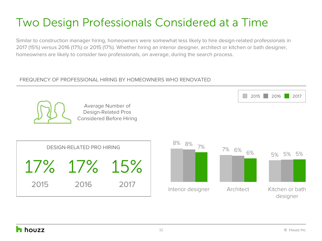### Two Design Professionals Considered at a Time

Similar to construction manager hiring, homeowners were somewhat less likely to hire design-related professionals in 2017 (15%) versus 2016 (17%) or 2015 (17%). Whether hiring an interior designer, architect or kitchen or bath designer, homeowners are likely to consider two professionals, on average, during the search process.

### FREQUENCY OF PROFESSIONAL HIRING BY HOMEOWNERS WHO RENOVATED



Average Number of Design-Related Pros Considered Before Hiring





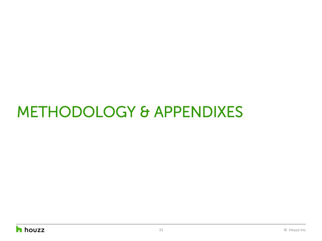# METHODOLOGY & APPENDIXES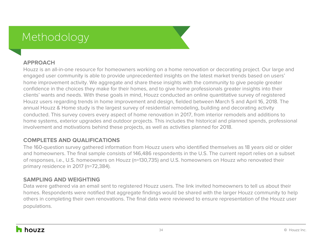### Methodology

### **APPROACH**

Houzz is an all-in-one resource for homeowners working on a home renovation or decorating project. Our large and engaged user community is able to provide unprecedented insights on the latest market trends based on users' home improvement activity. We aggregate and share these insights with the community to give people greater confidence in the choices they make for their homes, and to give home professionals greater insights into their clients' wants and needs. With these goals in mind, Houzz conducted an online quantitative survey of registered Houzz users regarding trends in home improvement and design, fielded between March 5 and April 16, 2018. The annual Houzz & Home study is the largest survey of residential remodeling, building and decorating activity conducted. This survey covers every aspect of home renovation in 2017, from interior remodels and additions to home systems, exterior upgrades and outdoor projects. This includes the historical and planned spends, professional involvement and motivations behind these projects, as well as activities planned for 2018.

### **COMPLETES AND QUALIFICATIONS**

The 160-question survey gathered information from Houzz users who identified themselves as 18 years old or older and homeowners. The final sample consists of 146,486 respondents in the U.S. The current report relies on a subset of responses, i.e., U.S. homeowners on Houzz (n=130,735) and U.S. homeowners on Houzz who renovated their primary residence in 2017 (n=72,384).

### **SAMPLING AND WEIGHTING**

Data were gathered via an email sent to registered Houzz users. The link invited homeowners to tell us about their homes. Respondents were notified that aggregate findings would be shared with the larger Houzz community to help others in completing their own renovations. The final data were reviewed to ensure representation of the Houzz user populations.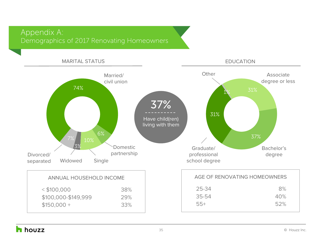### Appendix A: Demographics of 2017 Renovating Homeowners

### MARITAL STATUS



EDUCATION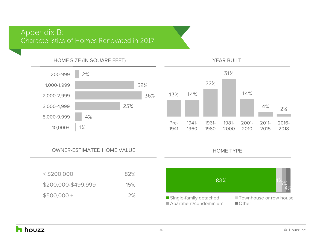### Appendix B: Characteristics of Homes Renovated in 2017



#### OWNER-ESTIMATED HOME VALUE

| $<$ \$200,000       | 82% |
|---------------------|-----|
| \$200,000-\$499,999 | 15% |
| $$500,000+$         | 2%  |



HOME TYPE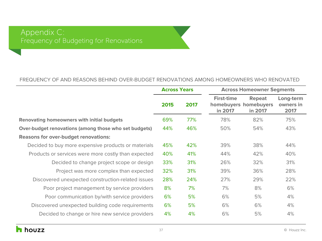#### FREQUENCY OF AND REASONS BEHIND OVER-BUDGET RENOVATIONS AMONG HOMEOWNERS WHO RENOVATED

|                                                       | <b>Across Years</b> |      |                                                       | <b>Across Homeowner Segments</b> |                                |  |  |
|-------------------------------------------------------|---------------------|------|-------------------------------------------------------|----------------------------------|--------------------------------|--|--|
|                                                       | 2015                | 2017 | <b>First-time</b><br>homebuyers homebuyers<br>in 2017 | <b>Repeat</b><br>in 2017         | Long-term<br>owners in<br>2017 |  |  |
| <b>Renovating homeowners with initial budgets</b>     | 69%                 | 77%  | 78%                                                   | 82%                              | 75%                            |  |  |
| Over-budget renovations (among those who set budgets) | 44%                 | 46%  | 50%                                                   | 54%                              | 43%                            |  |  |
| <b>Reasons for over-budget renovations:</b>           |                     |      |                                                       |                                  |                                |  |  |
| Decided to buy more expensive products or materials   | 45%                 | 42%  | 39%                                                   | 38%                              | 44%                            |  |  |
| Products or services were more costly than expected   | 40%                 | 41%  | 44%                                                   | 42%                              | 40%                            |  |  |
| Decided to change project scope or design             | 33%                 | 31%  | 26%                                                   | 32%                              | 31%                            |  |  |
| Project was more complex than expected                | 32%                 | 31%  | 39%                                                   | 36%                              | 28%                            |  |  |
| Discovered unexpected construction-related issues     | 28%                 | 24%  | 27%                                                   | 29%                              | 22%                            |  |  |
| Poor project management by service providers          | 8%                  | 7%   | 7%                                                    | 8%                               | 6%                             |  |  |
| Poor communication by/with service providers          | 6%                  | 5%   | 6%                                                    | 5%                               | 4%                             |  |  |
| Discovered unexpected building code requirements      | 6%                  | 5%   | 6%                                                    | 6%                               | 4%                             |  |  |
| Decided to change or hire new service providers       | 4%                  | 4%   | 6%                                                    | 5%                               | 4%                             |  |  |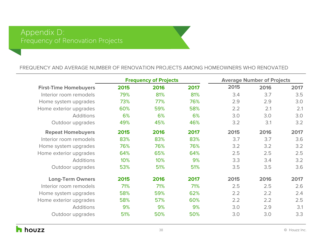#### FREQUENCY AND AVERAGE NUMBER OF RENOVATION PROJECTS AMONG HOMEOWNERS WHO RENOVATED

|                              | <b>Frequency of Projects</b> |      |      |      | <b>Average Number of Projects</b> |      |
|------------------------------|------------------------------|------|------|------|-----------------------------------|------|
| <b>First-Time Homebuyers</b> | 2015                         | 2016 | 2017 | 2015 | 2016                              | 2017 |
| Interior room remodels       | 79%                          | 81%  | 81%  | 3.4  | 3.7                               | 3.5  |
| Home system upgrades         | 73%                          | 77%  | 76%  | 2.9  | 2.9                               | 3.0  |
| Home exterior upgrades       | 60%                          | 59%  | 58%  | 2.2  | 2.1                               | 2.1  |
| <b>Additions</b>             | 6%                           | 6%   | 6%   | 3.0  | 3.0                               | 3.0  |
| Outdoor upgrades             | 49%                          | 45%  | 46%  | 3.2  | 3.1                               | 3.2  |
| <b>Repeat Homebuyers</b>     | 2015                         | 2016 | 2017 | 2015 | 2016                              | 2017 |
| Interior room remodels       | 83%                          | 83%  | 83%  | 3.7  | 3.7                               | 3.6  |
| Home system upgrades         | 76%                          | 76%  | 76%  | 3.2  | 3.2                               | 3.2  |
| Home exterior upgrades       | 64%                          | 65%  | 64%  | 2.5  | 2.5                               | 2.5  |
| <b>Additions</b>             | 10%                          | 10%  | 9%   | 3.3  | 3.4                               | 3.2  |
| Outdoor upgrades             | 53%                          | 51%  | 51%  | 3.5  | 3.5                               | 3.6  |
| <b>Long-Term Owners</b>      | 2015                         | 2016 | 2017 | 2015 | 2016                              | 2017 |
| Interior room remodels       | 71%                          | 71%  | 71%  | 2.5  | 2.5                               | 2.6  |
| Home system upgrades         | 58%                          | 59%  | 62%  | 2.2  | 2.2                               | 2.4  |
| Home exterior upgrades       | 58%                          | 57%  | 60%  | 2.2  | 2.2                               | 2.5  |
| <b>Additions</b>             | 9%                           | 9%   | 9%   | 3.0  | 2.9                               | 3.1  |
| Outdoor upgrades             | 51%                          | 50%  | 50%  | 3.0  | 3.0                               | 3.3  |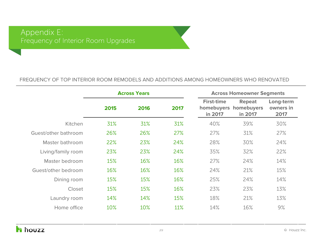#### FREQUENCY OF TOP INTERIOR ROOM REMODELS AND ADDITIONS AMONG HOMEOWNERS WHO RENOVATED

|                      | <b>Across Years</b> |      |      |                              | <b>Across Homeowner Segments</b>                  |                                |
|----------------------|---------------------|------|------|------------------------------|---------------------------------------------------|--------------------------------|
|                      | 2015                | 2016 | 2017 | <b>First-time</b><br>in 2017 | <b>Repeat</b><br>homebuyers homebuyers<br>in 2017 | Long-term<br>owners in<br>2017 |
| Kitchen              | 31%                 | 31%  | 31%  | 40%                          | 39%                                               | 30%                            |
| Guest/other bathroom | 26%                 | 26%  | 27%  | 27%                          | 31%                                               | 27%                            |
| Master bathroom      | 22%                 | 23%  | 24%  | 28%                          | 30%                                               | 24%                            |
| Living/family room   | 23%                 | 23%  | 24%  | 35%                          | 32%                                               | 22%                            |
| Master bedroom       | 15%                 | 16%  | 16%  | 27%                          | 24%                                               | 14%                            |
| Guest/other bedroom  | 16%                 | 16%  | 16%  | 24%                          | 21%                                               | 15%                            |
| Dining room          | 15%                 | 15%  | 16%  | 25%                          | 24%                                               | 14%                            |
| Closet               | 15%                 | 15%  | 16%  | 23%                          | 23%                                               | 13%                            |
| Laundry room         | 14%                 | 14%  | 15%  | 18%                          | 21%                                               | 13%                            |
| Home office          | 10%                 | 10%  | 11%  | 14%                          | 16%                                               | 9%                             |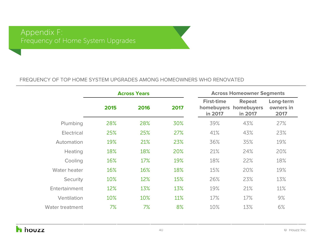#### FREQUENCY OF TOP HOME SYSTEM UPGRADES AMONG HOMEOWNERS WHO RENOVATED

|                 |      | <b>Across Years</b> |      |                              | <b>Across Homeowner Segments</b>                  |                                |  |  |
|-----------------|------|---------------------|------|------------------------------|---------------------------------------------------|--------------------------------|--|--|
|                 | 2015 | 2016                | 2017 | <b>First-time</b><br>in 2017 | <b>Repeat</b><br>homebuyers homebuyers<br>in 2017 | Long-term<br>owners in<br>2017 |  |  |
| Plumbing        | 28%  | 28%                 | 30%  | 39%                          | 43%                                               | 27%                            |  |  |
| Electrical      | 25%  | 25%                 | 27%  | 41%                          | 43%                                               | 23%                            |  |  |
| Automation      | 19%  | 21%                 | 23%  | 36%                          | 35%                                               | 19%                            |  |  |
| <b>Heating</b>  | 18%  | 18%                 | 20%  | 21%                          | 24%                                               | 20%                            |  |  |
| Cooling         | 16%  | 17%                 | 19%  | 18%                          | 22%                                               | 18%                            |  |  |
| Water heater    | 16%  | 16%                 | 18%  | 15%                          | 20%                                               | 19%                            |  |  |
| Security        | 10%  | 12%                 | 15%  | 26%                          | 23%                                               | 13%                            |  |  |
| Entertainment   | 12%  | 13%                 | 13%  | 19%                          | 21%                                               | 11%                            |  |  |
| Ventilation     | 10%  | 10%                 | 11%  | 17%                          | 17%                                               | 9%                             |  |  |
| Water treatment | 7%   | 7%                  | 8%   | 10%                          | 13%                                               | 6%                             |  |  |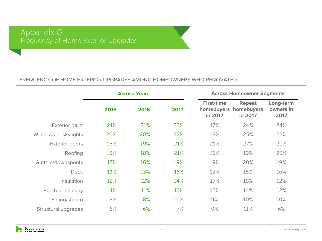### Appendix G: Frequency of Home Exterior Upgrades

#### FREQUENCY OF HOME EXTERIOR UPGRADES AMONG HOMEOWNERS WHO RENOVATED

|                       | <b>Across Years</b> |      |      |                              | <b>Across Homeowner Segments</b>                  |                                |
|-----------------------|---------------------|------|------|------------------------------|---------------------------------------------------|--------------------------------|
|                       | 2015                | 2016 | 2017 | <b>First-time</b><br>in 2017 | <b>Repeat</b><br>homebuyers homebuyers<br>in 2017 | Long-term<br>owners in<br>2017 |
| <b>Exterior paint</b> | 21%                 | 21%  | 23%  | 17%                          | 24%                                               | 24%                            |
| Windows or skylights  | 20%                 | 20%  | 22%  | 18%                          | 25%                                               | 22%                            |
| Exterior doors        | 18%                 | 19%  | 21%  | 21%                          | 27%                                               | 20%                            |
| Roofing               | 18%                 | 18%  | 21%  | 16%                          | 19%                                               | 23%                            |
| Gutters/downspouts    | 17%                 | 16%  | 19%  | 19%                          | 20%                                               | 19%                            |
| <b>Deck</b>           | 13%                 | 13%  | 15%  | 12%                          | 15%                                               | 16%                            |
| Insulation            | 12%                 | 12%  | 14%  | 17%                          | 18%                                               | 12%                            |
| Porch or balcony      | 11%                 | 11%  | 12%  | 12%                          | 14%                                               | 12%                            |
| Siding/stucco         | 8%                  | 8%   | 10%  | 9%                           | 10%                                               | 10%                            |
| Structural upgrades   | 6%                  | 6%   | 7%   | 9%                           | 11%                                               | 6%                             |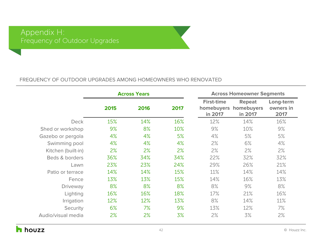#### FREQUENCY OF OUTDOOR UPGRADES AMONG HOMEOWNERS WHO RENOVATED

|                    |      | <b>Across Years</b> |      | <b>Across Homeowner Segments</b>           |                                        |                                |  |
|--------------------|------|---------------------|------|--------------------------------------------|----------------------------------------|--------------------------------|--|
|                    | 2015 | 2016                | 2017 | <b>First-time</b><br>homebuyers<br>in 2017 | <b>Repeat</b><br>homebuyers<br>in 2017 | Long-term<br>owners in<br>2017 |  |
| <b>Deck</b>        | 15%  | 14%                 | 16%  | 12%                                        | 14%                                    | 16%                            |  |
| Shed or workshop   | 9%   | 8%                  | 10%  | 9%                                         | 10%                                    | 9%                             |  |
| Gazebo or pergola  | 4%   | 4%                  | 5%   | 4%                                         | 5%                                     | 5%                             |  |
| Swimming pool      | 4%   | 4%                  | 4%   | 2%                                         | 6%                                     | 4%                             |  |
| Kitchen (built-in) | 2%   | 2%                  | 2%   | 2%                                         | 2%                                     | 2%                             |  |
| Beds & borders     | 36%  | 34%                 | 34%  | 22%                                        | 32%                                    | 32%                            |  |
| Lawn               | 23%  | 23%                 | 24%  | 29%                                        | 26%                                    | 21%                            |  |
| Patio or terrace   | 14%  | 14%                 | 15%  | 11%                                        | 14%                                    | 14%                            |  |
| Fence              | 13%  | 13%                 | 15%  | 14%                                        | 16%                                    | 13%                            |  |
| Driveway           | 8%   | 8%                  | 8%   | 8%                                         | 9%                                     | 8%                             |  |
| Lighting           | 16%  | 16%                 | 18%  | 17%                                        | 21%                                    | 16%                            |  |
| Irrigation         | 12%  | 12%                 | 13%  | 8%                                         | 14%                                    | 11%                            |  |
| Security           | 6%   | 7%                  | 9%   | 13%                                        | 12%                                    | 7%                             |  |
| Audio/visual media | 2%   | 2%                  | 3%   | 2%                                         | 3%                                     | 2%                             |  |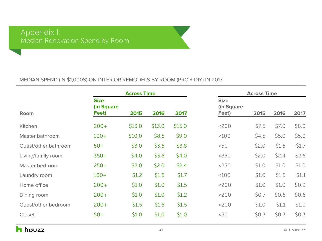#### MEDIAN SPEND (IN \$1,000S) ON INTERIOR REMODELS BY ROOM (PRO + DIY) IN 2017

|                      |                                    | <b>Across Time</b> |        |        |                                    | <b>Across Time</b> |       |       |
|----------------------|------------------------------------|--------------------|--------|--------|------------------------------------|--------------------|-------|-------|
| <b>Room</b>          | <b>Size</b><br>(in Square<br>Feet) | 2015               | 2016   | 2017   | <b>Size</b><br>(in Square<br>Feet) | 2015               | 2016  | 2017  |
| Kitchen              | $200+$                             | \$13.0             | \$13.0 | \$15.0 | $<$ 200                            | \$7.5              | \$7.0 | \$8.0 |
| Master bathroom      | $100+$                             | \$10.0             | \$8.5  | \$9.0  | $<$ 100                            | \$4.5              | \$5.0 | \$5.0 |
| Guest/other bathroom | $50+$                              | \$3.0              | \$3.5  | \$3.8  | < 50                               | \$2.0              | \$1.5 | \$1.7 |
| Living/family room   | $350+$                             | \$4.0              | \$3.5  | \$4.0  | < 350                              | \$2.0              | \$2.4 | \$2.5 |
| Master bedroom       | $250+$                             | \$2.0              | \$2.0  | \$2.4  | $<$ 250                            | \$1.0              | \$1.0 | \$1.0 |
| Laundry room         | $100+$                             | \$1.2              | \$1.5  | \$1.7  | <100                               | \$1.0              | \$1.5 | \$1.1 |
| Home office          | $200+$                             | \$1.0              | \$1.0  | \$1.5  | $<$ 200                            | \$1.0              | \$1.0 | \$0.9 |
| Dining room          | $200+$                             | \$1.0              | \$1.0  | \$1.2  | <200                               | \$0.7              | \$0.6 | \$0.6 |
| Guest/other bedroom  | $200+$                             | \$1.5              | \$1.5  | \$1.5  | $<$ 200                            | \$1.0              | \$1.1 | \$1.0 |
| Closet               | $50+$                              | \$1.0              | \$1.0  | \$1.0  | < 50                               | \$0.3              | \$0.3 | \$0.3 |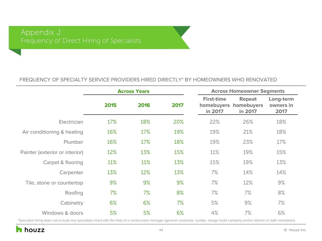#### FREQUENCY OF SPECIALTY SERVICE PROVIDERS HIRED DIRECTLY\* BY HOMEOWNERS WHO RENOVATED

|                                | <b>Across Years</b> |      |      | <b>Across Homeowner Segments</b> |                                                   |                                |
|--------------------------------|---------------------|------|------|----------------------------------|---------------------------------------------------|--------------------------------|
|                                | 2015                | 2016 | 2017 | <b>First-time</b><br>in 2017     | <b>Repeat</b><br>homebuyers homebuyers<br>in 2017 | Long-term<br>owners in<br>2017 |
| Electrician                    | 17%                 | 18%  | 20%  | 22%                              | 26%                                               | 18%                            |
| Air conditioning & heating     | 16%                 | 17%  | 19%  | 19%                              | 21%                                               | 18%                            |
| Plumber                        | 16%                 | 17%  | 18%  | 19%                              | 23%                                               | 17%                            |
| Painter (exterior or interior) | 12%                 | 13%  | 15%  | 11%                              | 19%                                               | 15%                            |
| Carpet & flooring              | 11%                 | 11%  | 13%  | 15%                              | 19%                                               | 13%                            |
| Carpenter                      | 13%                 | 12%  | 13%  | 7%                               | 14%                                               | 14%                            |
| Tile, stone or countertop      | 9%                  | 9%   | 9%   | 7%                               | 12%                                               | 9%                             |
| Roofing                        | 7%                  | 7%   | 8%   | 7%                               | 7%                                                | 8%                             |
| Cabinetry                      | 6%                  | 6%   | 7%   | 5%                               | 9%                                                | 7%                             |
| Windows & doors                | 5%                  | 5%   | 6%   | 4%                               | 7%                                                | 6%                             |

\*Specialist hiring does not include any specialists hired with the help of a construction manager (general contractor, builder, design-build company and/or kitchen or bath remodeler).